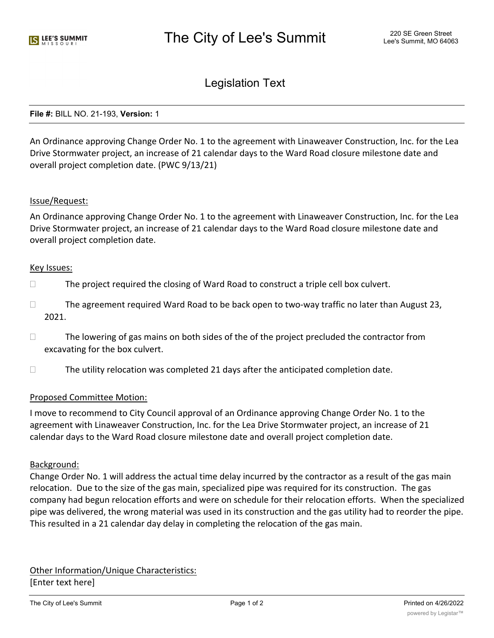# Legislation Text

### **File #:** BILL NO. 21-193, **Version:** 1

An Ordinance approving Change Order No. 1 to the agreement with Linaweaver Construction, Inc. for the Lea Drive Stormwater project, an increase of 21 calendar days to the Ward Road closure milestone date and overall project completion date. (PWC 9/13/21)

## Issue/Request:

An Ordinance approving Change Order No. 1 to the agreement with Linaweaver Construction, Inc. for the Lea Drive Stormwater project, an increase of 21 calendar days to the Ward Road closure milestone date and overall project completion date.

#### Key Issues:

- $\Box$  The project required the closing of Ward Road to construct a triple cell box culvert.
- $\Box$  The agreement required Ward Road to be back open to two-way traffic no later than August 23, 2021.
- $\Box$  The lowering of gas mains on both sides of the of the project precluded the contractor from excavating for the box culvert.
- $\Box$  The utility relocation was completed 21 days after the anticipated completion date.

## Proposed Committee Motion:

I move to recommend to City Council approval of an Ordinance approving Change Order No. 1 to the agreement with Linaweaver Construction, Inc. for the Lea Drive Stormwater project, an increase of 21 calendar days to the Ward Road closure milestone date and overall project completion date.

## Background:

Change Order No. 1 will address the actual time delay incurred by the contractor as a result of the gas main relocation. Due to the size of the gas main, specialized pipe was required for its construction. The gas company had begun relocation efforts and were on schedule for their relocation efforts. When the specialized pipe was delivered, the wrong material was used in its construction and the gas utility had to reorder the pipe. This resulted in a 21 calendar day delay in completing the relocation of the gas main.

Other Information/Unique Characteristics: [Enter text here]